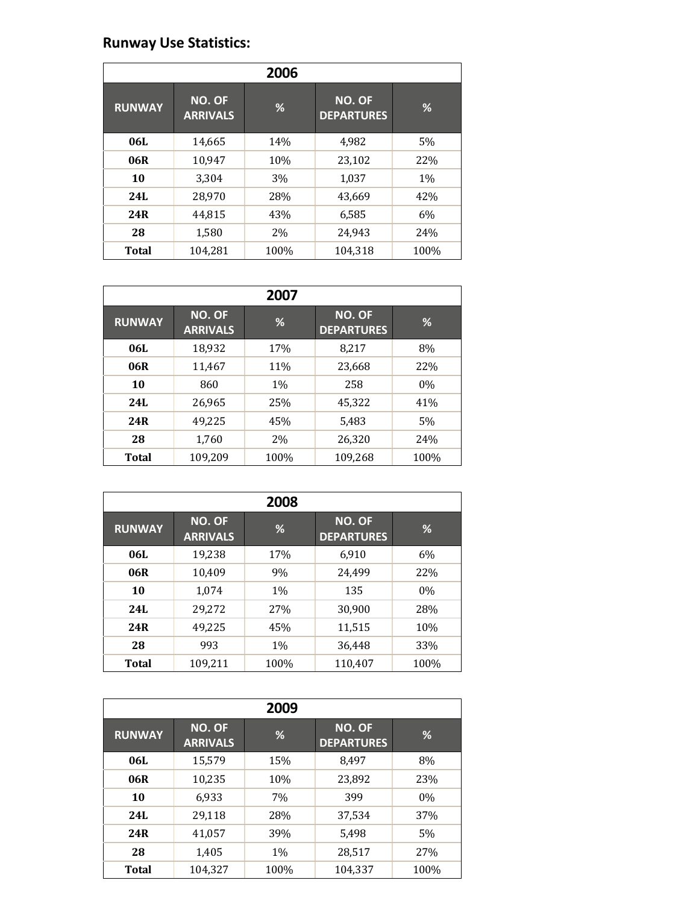## **Runway Use Statistics:**

| 2006          |                                  |      |                             |       |
|---------------|----------------------------------|------|-----------------------------|-------|
| <b>RUNWAY</b> | <b>NO. OF</b><br><b>ARRIVALS</b> | %    | NO. OF<br><b>DEPARTURES</b> | %     |
| 06L           | 14,665                           | 14%  | 4,982                       | 5%    |
| 06R           | 10,947                           | 10%  | 23,102                      | 22%   |
| 10            | 3,304                            | 3%   | 1,037                       | $1\%$ |
| 24L           | 28,970                           | 28%  | 43.669                      | 42%   |
| 24R           | 44,815                           | 43%  | 6,585                       | 6%    |
| 28            | 1,580                            | 2%   | 24,943                      | 24%   |
| <b>Total</b>  | 104,281                          | 100% | 104,318                     | 100%  |

|               |                           | 2007  |                                    |       |
|---------------|---------------------------|-------|------------------------------------|-------|
| <b>RUNWAY</b> | NO. OF<br><b>ARRIVALS</b> | %     | <b>NO. OF</b><br><b>DEPARTURES</b> | %     |
| 06L           | 18,932                    | 17%   | 8,217                              | 8%    |
| 06R           | 11,467                    | 11%   | 23,668                             | 22%   |
| 10            | 860                       | $1\%$ | 258                                | $0\%$ |
| 24I.          | 26,965                    | 25%   | 45,322                             | 41%   |
| 24R           | 49,225                    | 45%   | 5,483                              | 5%    |
| 28            | 1,760                     | 2%    | 26,320                             | 24%   |
| <b>Total</b>  | 109,209                   | 100%  | 109,268                            | 100%  |

|               |                                  | 2008  |                                    |       |
|---------------|----------------------------------|-------|------------------------------------|-------|
| <b>RUNWAY</b> | <b>NO. OF</b><br><b>ARRIVALS</b> | %     | <b>NO. OF</b><br><b>DEPARTURES</b> | %     |
| 06L           | 19,238                           | 17%   | 6,910                              | $6\%$ |
| 06R           | 10,409                           | 9%    | 24,499                             | 22%   |
| 10            | 1,074                            | $1\%$ | 135                                | 0%    |
| 24L           | 29,272                           | 27%   | 30,900                             | 28%   |
| 24R           | 49,225                           | 45%   | 11,515                             | 10%   |
| 28            | 993                              | $1\%$ | 36,448                             | 33%   |
| <b>Total</b>  | 109,211                          | 100%  | 110,407                            | 100%  |

| 2009          |                                  |      |                                    |       |
|---------------|----------------------------------|------|------------------------------------|-------|
| <b>RUNWAY</b> | <b>NO. OF</b><br><b>ARRIVALS</b> | %    | <b>NO. OF</b><br><b>DEPARTURES</b> | %     |
| 06L           | 15,579                           | 15%  | 8,497                              | 8%    |
| 06R           | 10,235                           | 10%  | 23,892                             | 23%   |
| 10            | 6,933                            | 7%   | 399                                | $0\%$ |
| <b>24L</b>    | 29,118                           | 28%  | 37,534                             | 37%   |
| 24R           | 41,057                           | 39%  | 5,498                              | 5%    |
| 28            | 1,405                            | 1%   | 28,517                             | 27%   |
| <b>Total</b>  | 104,327                          | 100% | 104,337                            | 100%  |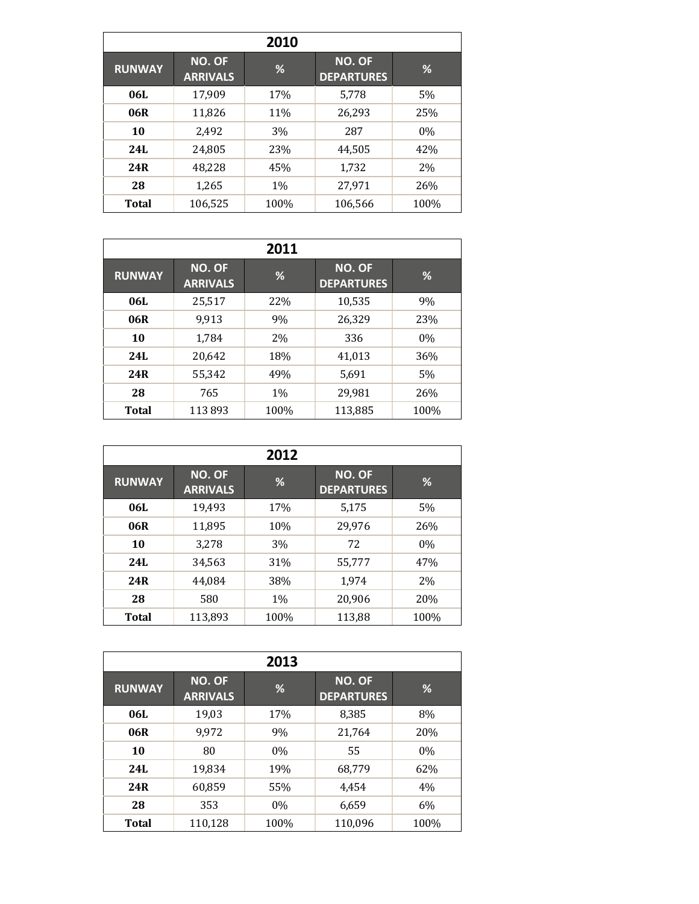|               |                                  | 2010 |                                    |       |
|---------------|----------------------------------|------|------------------------------------|-------|
| <b>RUNWAY</b> | <b>NO. OF</b><br><b>ARRIVALS</b> | %    | <b>NO. OF</b><br><b>DEPARTURES</b> | %     |
| 06L           | 17,909                           | 17%  | 5,778                              | 5%    |
| 06R           | 11,826                           | 11%  | 26,293                             | 25%   |
| 10            | 2,492                            | 3%   | 287                                | $0\%$ |
| 24L           | 24,805                           | 23%  | 44,505                             | 42%   |
| 24R           | 48,228                           | 45%  | 1,732                              | 2%    |
| 28            | 1,265                            | 1%   | 27,971                             | 26%   |
| <b>Total</b>  | 106,525                          | 100% | 106,566                            | 100%  |

|               |                                  | 2011  |                                    |       |
|---------------|----------------------------------|-------|------------------------------------|-------|
| <b>RUNWAY</b> | <b>NO. OF</b><br><b>ARRIVALS</b> | %     | <b>NO. OF</b><br><b>DEPARTURES</b> | %     |
| 06L           | 25,517                           | 22%   | 10,535                             | 9%    |
| 06R           | 9,913                            | 9%    | 26,329                             | 23%   |
| 10            | 1,784                            | 2%    | 336                                | $0\%$ |
| 24L           | 20,642                           | 18%   | 41,013                             | 36%   |
| 24R           | 55,342                           | 49%   | 5,691                              | 5%    |
| 28            | 765                              | $1\%$ | 29,981                             | 26%   |
| <b>Total</b>  | 113893                           | 100%  | 113,885                            | 100%  |

|               |                                  | 2012  |                             |       |
|---------------|----------------------------------|-------|-----------------------------|-------|
| <b>RUNWAY</b> | <b>NO. OF</b><br><b>ARRIVALS</b> | %     | NO. OF<br><b>DEPARTURES</b> | %     |
| 06L           | 19,493                           | 17%   | 5,175                       | 5%    |
| 06R           | 11,895                           | 10%   | 29,976                      | 26%   |
| 10            | 3,278                            | 3%    | 72                          | $0\%$ |
| 24L           | 34,563                           | 31%   | 55,777                      | 47%   |
| 24R           | 44.084                           | 38%   | 1,974                       | 2%    |
| 28            | 580                              | $1\%$ | 20,906                      | 20%   |
| <b>Total</b>  | 113,893                          | 100%  | 113,88                      | 100%  |

|               |                           | 2013 |                             |      |
|---------------|---------------------------|------|-----------------------------|------|
| <b>RUNWAY</b> | NO. OF<br><b>ARRIVALS</b> | %    | NO. OF<br><b>DEPARTURES</b> | %    |
| 06L           | 19,03                     | 17%  | 8,385                       | 8%   |
| 06R           | 9,972                     | 9%   | 21,764                      | 20%  |
| 10            | 80                        | 0%   | 55                          | 0%   |
| 24L           | 19,834                    | 19%  | 68,779                      | 62%  |
| 24R           | 60,859                    | 55%  | 4,454                       | 4%   |
| 28            | 353                       | 0%   | 6,659                       | 6%   |
| <b>Total</b>  | 110,128                   | 100% | 110,096                     | 100% |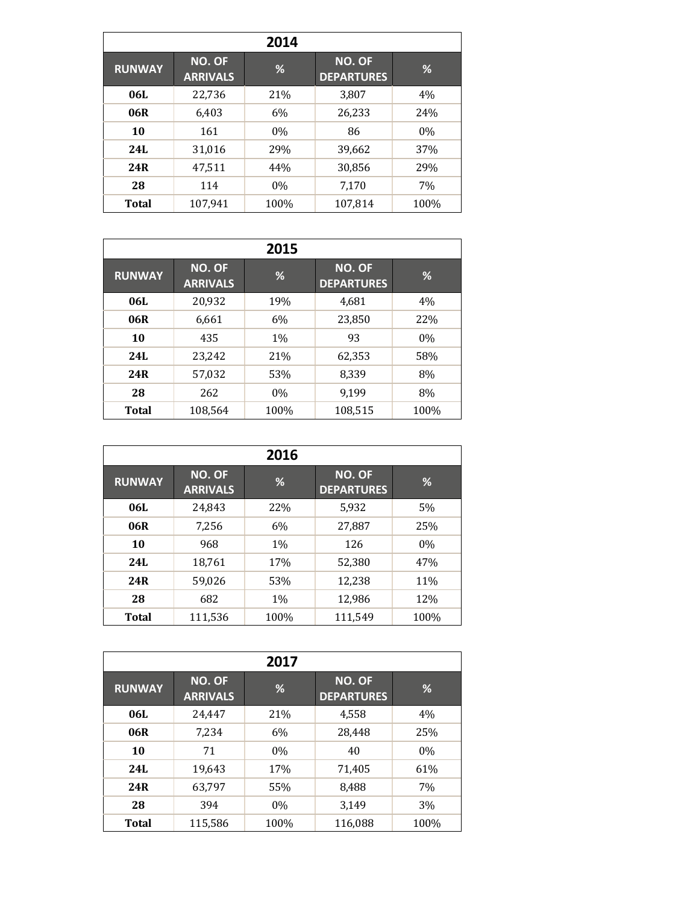|               |                           | 2014  |                                    |       |
|---------------|---------------------------|-------|------------------------------------|-------|
| <b>RUNWAY</b> | NO. OF<br><b>ARRIVALS</b> | %     | <b>NO. OF</b><br><b>DEPARTURES</b> | %     |
| 06L           | 22,736                    | 21%   | 3,807                              | 4%    |
| 06R           | 6,403                     | 6%    | 26,233                             | 24%   |
| 10            | 161                       | 0%    | 86                                 | $0\%$ |
| 24L           | 31,016                    | 29%   | 39,662                             | 37%   |
| 24R           | 47,511                    | 44%   | 30,856                             | 29%   |
| 28            | 114                       | $0\%$ | 7,170                              | 7%    |
| <b>Total</b>  | 107,941                   | 100%  | 107,814                            | 100%  |

|               |                                  | 2015  |                                    |       |
|---------------|----------------------------------|-------|------------------------------------|-------|
| <b>RUNWAY</b> | <b>NO. OF</b><br><b>ARRIVALS</b> | %     | <b>NO. OF</b><br><b>DEPARTURES</b> | %     |
| 06L           | 20,932                           | 19%   | 4,681                              | 4%    |
| 06R           | 6,661                            | 6%    | 23,850                             | 22%   |
| 10            | 435                              | $1\%$ | 93                                 | $0\%$ |
| 24L           | 23,242                           | 21%   | 62,353                             | 58%   |
| 24R           | 57,032                           | 53%   | 8,339                              | 8%    |
| 28            | 262                              | $0\%$ | 9,199                              | 8%    |
| <b>Total</b>  | 108,564                          | 100%  | 108,515                            | 100%  |

|               |                           | 2016  |                                    |       |
|---------------|---------------------------|-------|------------------------------------|-------|
| <b>RUNWAY</b> | NO. OF<br><b>ARRIVALS</b> | %     | <b>NO. OF</b><br><b>DEPARTURES</b> | %     |
| 06L           | 24,843                    | 22%   | 5,932                              | 5%    |
| 06R           | 7,256                     | 6%    | 27,887                             | 25%   |
| 10            | 968                       | $1\%$ | 126                                | $0\%$ |
| 24L           | 18,761                    | 17%   | 52,380                             | 47%   |
| 24R           | 59,026                    | 53%   | 12,238                             | 11%   |
| 28            | 682                       | $1\%$ | 12,986                             | 12%   |
| <b>Total</b>  | 111,536                   | 100%  | 111,549                            | 100%  |

|               |                           | 2017 |                                    |      |
|---------------|---------------------------|------|------------------------------------|------|
| <b>RUNWAY</b> | NO. OF<br><b>ARRIVALS</b> | %    | <b>NO. OF</b><br><b>DEPARTURES</b> | %    |
| 06L           | 24,447                    | 21%  | 4,558                              | 4%   |
| 06R           | 7,234                     | 6%   | 28,448                             | 25%  |
| 10            | 71                        | 0%   | 40                                 | 0%   |
| 24L           | 19,643                    | 17%  | 71,405                             | 61%  |
| 24R           | 63,797                    | 55%  | 8,488                              | 7%   |
| 28            | 394                       | 0%   | 3,149                              | 3%   |
| <b>Total</b>  | 115,586                   | 100% | 116,088                            | 100% |